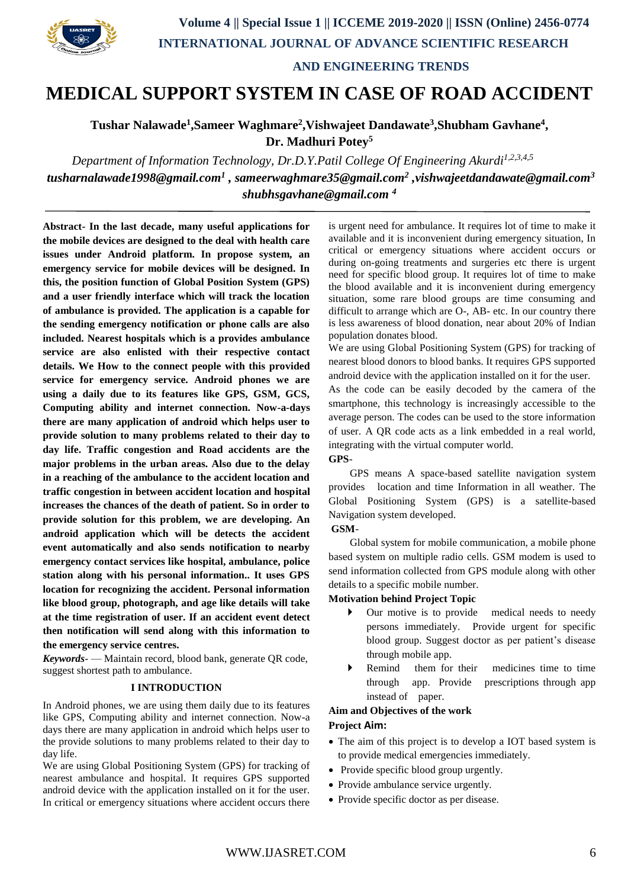

 **AND ENGINEERING TRENDS**

## **MEDICAL SUPPORT SYSTEM IN CASE OF ROAD ACCIDENT**

**Tushar Nalawade<sup>1</sup> ,Sameer Waghmare<sup>2</sup> ,Vishwajeet Dandawate<sup>3</sup> ,Shubham Gavhane<sup>4</sup> , Dr. Madhuri Potey<sup>5</sup>**

*Department of Information Technology, Dr.D.Y.Patil College Of Engineering Akurdi1,2,3,4,5 tusharnalawade1998@gmail.com<sup>1</sup> , sameerwaghmare35@gmail.com<sup>2</sup> ,vishwajeetdandawate@gmail.com<sup>3</sup> shubhsgavhane@gmail.com <sup>4</sup>*

**Abstract- In the last decade, many useful applications for the mobile devices are designed to the deal with health care issues under Android platform. In propose system, an emergency service for mobile devices will be designed. In this, the position function of Global Position System (GPS) and a user friendly interface which will track the location of ambulance is provided. The application is a capable for the sending emergency notification or phone calls are also included. Nearest hospitals which is a provides ambulance service are also enlisted with their respective contact details. We How to the connect people with this provided service for emergency service. Android phones we are using a daily due to its features like GPS, GSM, GCS, Computing ability and internet connection. Now-a-days there are many application of android which helps user to provide solution to many problems related to their day to day life. Traffic congestion and Road accidents are the major problems in the urban areas. Also due to the delay in a reaching of the ambulance to the accident location and traffic congestion in between accident location and hospital increases the chances of the death of patient. So in order to provide solution for this problem, we are developing. An android application which will be detects the accident event automatically and also sends notification to nearby emergency contact services like hospital, ambulance, police station along with his personal information.. It uses GPS location for recognizing the accident. Personal information like blood group, photograph, and age like details will take at the time registration of user. If an accident event detect then notification will send along with this information to the emergency service centres.**

*Keywords-* — Maintain record, blood bank, generate QR code, suggest shortest path to ambulance.

### **I INTRODUCTION**

In Android phones, we are using them daily due to its features like GPS, Computing ability and internet connection. Now-a days there are many application in android which helps user to the provide solutions to many problems related to their day to day life.

We are using Global Positioning System (GPS) for tracking of nearest ambulance and hospital. It requires GPS supported android device with the application installed on it for the user. In critical or emergency situations where accident occurs there is urgent need for ambulance. It requires lot of time to make it available and it is inconvenient during emergency situation, In critical or emergency situations where accident occurs or during on-going treatments and surgeries etc there is urgent need for specific blood group. It requires lot of time to make the blood available and it is inconvenient during emergency situation, some rare blood groups are time consuming and difficult to arrange which are O-, AB- etc. In our country there is less awareness of blood donation, near about 20% of Indian population donates blood.

We are using Global Positioning System (GPS) for tracking of nearest blood donors to blood banks. It requires GPS supported android device with the application installed on it for the user.

As the code can be easily decoded by the camera of the smartphone, this technology is increasingly accessible to the average person. The codes can be used to the store information of user. A QR code acts as a link embedded in a real world, integrating with the virtual computer world.

**GPS**-

 GPS means A space-based satellite navigation system provides location and time Information in all weather. The Global Positioning System (GPS) is a satellite-based Navigation system developed.

### **GSM**-

 Global system for mobile communication, a mobile phone based system on multiple radio cells. GSM modem is used to send information collected from GPS module along with other details to a specific mobile number.

### **Motivation behind Project Topic**

- Our motive is to provide medical needs to needy persons immediately. Provide urgent for specific blood group. Suggest doctor as per patient's disease through mobile app.
- Remind them for their medicines time to time through app. Provide prescriptions through app instead of paper.

### **Aim and Objectives of the work**

### **Project Aim:**

- The aim of this project is to develop a IOT based system is to provide medical emergencies immediately.
- Provide specific blood group urgently.
- Provide ambulance service urgently.
- Provide specific doctor as per disease.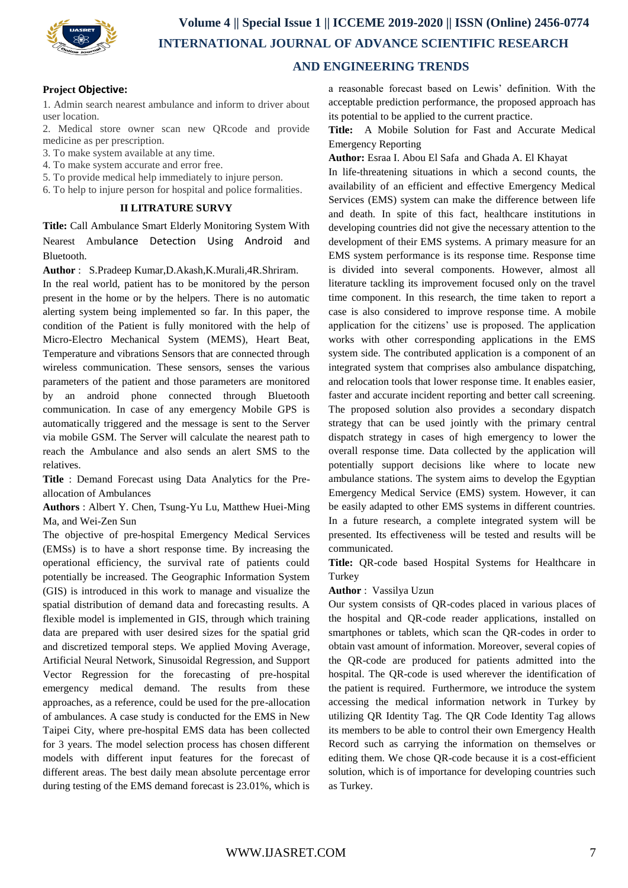

### **Project Objective:**

1. Admin search nearest ambulance and inform to driver about user location.

2. Medical store owner scan new QRcode and provide medicine as per prescription.

- 3. To make system available at any time.
- 4. To make system accurate and error free.
- 5. To provide medical help immediately to injure person.

6. To help to injure person for hospital and police formalities.

### **II LITRATURE SURVY**

**Title:** Call Ambulance Smart Elderly Monitoring System With Nearest Ambulance Detection Using Android and Bluetooth.

**Author** : S.Pradeep Kumar,D.Akash,K.Murali,4R.Shriram.

In the real world, patient has to be monitored by the person present in the home or by the helpers. There is no automatic alerting system being implemented so far. In this paper, the condition of the Patient is fully monitored with the help of Micro-Electro Mechanical System (MEMS), Heart Beat, Temperature and vibrations Sensors that are connected through wireless communication. These sensors, senses the various parameters of the patient and those parameters are monitored by an android phone connected through Bluetooth communication. In case of any emergency Mobile GPS is automatically triggered and the message is sent to the Server via mobile GSM. The Server will calculate the nearest path to reach the Ambulance and also sends an alert SMS to the relatives.

**Title** : Demand Forecast using Data Analytics for the Preallocation of Ambulances

**Authors** : Albert Y. Chen, Tsung-Yu Lu, Matthew Huei-Ming Ma, and Wei-Zen Sun

The objective of pre-hospital Emergency Medical Services (EMSs) is to have a short response time. By increasing the operational efficiency, the survival rate of patients could potentially be increased. The Geographic Information System (GIS) is introduced in this work to manage and visualize the spatial distribution of demand data and forecasting results. A flexible model is implemented in GIS, through which training data are prepared with user desired sizes for the spatial grid and discretized temporal steps. We applied Moving Average, Artificial Neural Network, Sinusoidal Regression, and Support Vector Regression for the forecasting of pre-hospital emergency medical demand. The results from these approaches, as a reference, could be used for the pre-allocation of ambulances. A case study is conducted for the EMS in New Taipei City, where pre-hospital EMS data has been collected for 3 years. The model selection process has chosen different models with different input features for the forecast of different areas. The best daily mean absolute percentage error during testing of the EMS demand forecast is 23.01%, which is

a reasonable forecast based on Lewis' definition. With the acceptable prediction performance, the proposed approach has its potential to be applied to the current practice.

**Title:** A Mobile Solution for Fast and Accurate Medical Emergency Reporting

**Author:** Esraa I. Abou El Safa and Ghada A. El Khayat

In life-threatening situations in which a second counts, the availability of an efficient and effective Emergency Medical Services (EMS) system can make the difference between life and death. In spite of this fact, healthcare institutions in developing countries did not give the necessary attention to the development of their EMS systems. A primary measure for an EMS system performance is its response time. Response time is divided into several components. However, almost all literature tackling its improvement focused only on the travel time component. In this research, the time taken to report a case is also considered to improve response time. A mobile application for the citizens' use is proposed. The application works with other corresponding applications in the EMS system side. The contributed application is a component of an integrated system that comprises also ambulance dispatching, and relocation tools that lower response time. It enables easier, faster and accurate incident reporting and better call screening. The proposed solution also provides a secondary dispatch strategy that can be used jointly with the primary central dispatch strategy in cases of high emergency to lower the overall response time. Data collected by the application will potentially support decisions like where to locate new ambulance stations. The system aims to develop the Egyptian Emergency Medical Service (EMS) system. However, it can be easily adapted to other EMS systems in different countries. In a future research, a complete integrated system will be presented. Its effectiveness will be tested and results will be communicated.

**Title:** QR-code based Hospital Systems for Healthcare in Turkey

**Author** : Vassilya Uzun

Our system consists of QR-codes placed in various places of the hospital and QR-code reader applications, installed on smartphones or tablets, which scan the QR-codes in order to obtain vast amount of information. Moreover, several copies of the QR-code are produced for patients admitted into the hospital. The QR-code is used wherever the identification of the patient is required. Furthermore, we introduce the system accessing the medical information network in Turkey by utilizing QR Identity Tag. The QR Code Identity Tag allows its members to be able to control their own Emergency Health Record such as carrying the information on themselves or editing them. We chose QR-code because it is a cost-efficient solution, which is of importance for developing countries such as Turkey.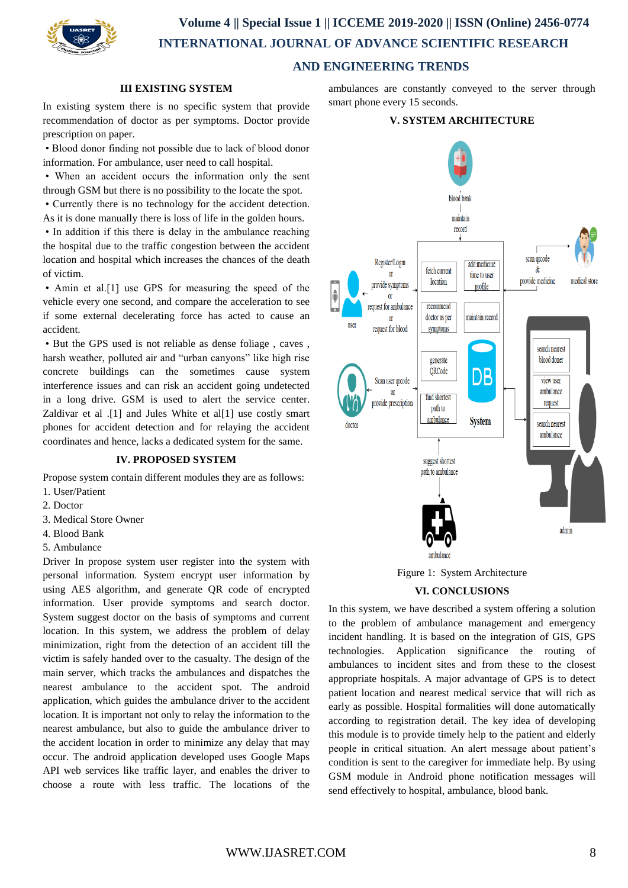

# **Volume 4 || Special Issue 1 || ICCEME 2019-2020 || ISSN (Online) 2456-0774 INTERNATIONAL JOURNAL OF ADVANCE SCIENTIFIC RESEARCH**

### **AND ENGINEERING TRENDS**

### **III EXISTING SYSTEM**

In existing system there is no specific system that provide recommendation of doctor as per symptoms. Doctor provide prescription on paper.

• Blood donor finding not possible due to lack of blood donor information. For ambulance, user need to call hospital.

• When an accident occurs the information only the sent through GSM but there is no possibility to the locate the spot.

• Currently there is no technology for the accident detection. As it is done manually there is loss of life in the golden hours.

• In addition if this there is delay in the ambulance reaching the hospital due to the traffic congestion between the accident location and hospital which increases the chances of the death of victim.

• Amin et al.[1] use GPS for measuring the speed of the vehicle every one second, and compare the acceleration to see if some external decelerating force has acted to cause an accident.

• But the GPS used is not reliable as dense foliage , caves , harsh weather, polluted air and "urban canyons" like high rise concrete buildings can the sometimes cause system interference issues and can risk an accident going undetected in a long drive. GSM is used to alert the service center. Zaldivar et al .[1] and Jules White et al[1] use costly smart phones for accident detection and for relaying the accident coordinates and hence, lacks a dedicated system for the same.

### **IV. PROPOSED SYSTEM**

Propose system contain different modules they are as follows:

- 1. User/Patient
- 2. Doctor
- 3. Medical Store Owner
- 4. Blood Bank
- 5. Ambulance

Driver In propose system user register into the system with personal information. System encrypt user information by using AES algorithm, and generate QR code of encrypted information. User provide symptoms and search doctor. System suggest doctor on the basis of symptoms and current location. In this system, we address the problem of delay minimization, right from the detection of an accident till the victim is safely handed over to the casualty. The design of the main server, which tracks the ambulances and dispatches the nearest ambulance to the accident spot. The android application, which guides the ambulance driver to the accident location. It is important not only to relay the information to the nearest ambulance, but also to guide the ambulance driver to the accident location in order to minimize any delay that may occur. The android application developed uses Google Maps API web services like traffic layer, and enables the driver to choose a route with less traffic. The locations of the

ambulances are constantly conveyed to the server through smart phone every 15 seconds.

### **V. SYSTEM ARCHITECTURE**



Figure 1: System Architecture

#### **VI. CONCLUSIONS**

In this system, we have described a system offering a solution to the problem of ambulance management and emergency incident handling. It is based on the integration of GIS, GPS technologies. Application significance the routing of ambulances to incident sites and from these to the closest appropriate hospitals. A major advantage of GPS is to detect patient location and nearest medical service that will rich as early as possible. Hospital formalities will done automatically according to registration detail. The key idea of developing this module is to provide timely help to the patient and elderly people in critical situation. An alert message about patient's condition is sent to the caregiver for immediate help. By using GSM module in Android phone notification messages will send effectively to hospital, ambulance, blood bank.